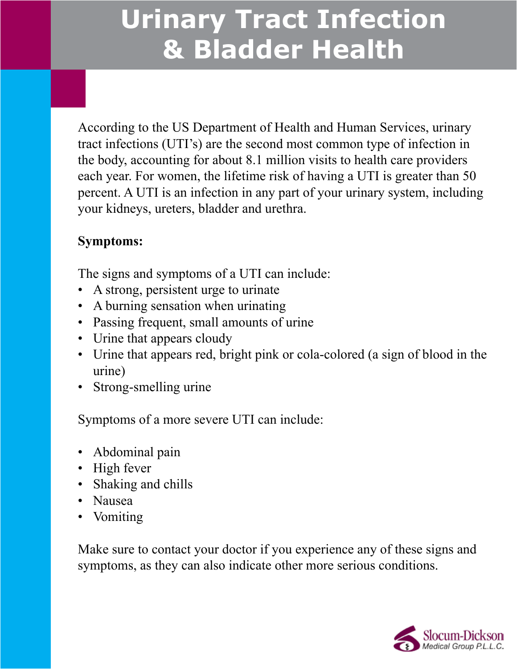According to the US Department of Health and Human Services, urinary tract infections (UTI's) are the second most common type of infection in the body, accounting for about 8.1 million visits to health care providers each year. For women, the lifetime risk of having a UTI is greater than 50 percent. A UTI is an infection in any part of your urinary system, including your kidneys, ureters, bladder and urethra.

#### **Symptoms:**

The signs and symptoms of a UTI can include:

- A strong, persistent urge to urinate
- A burning sensation when urinating
- Passing frequent, small amounts of urine
- Urine that appears cloudy
- • Urine that appears red, bright pink or cola-colored (a sign of blood in the urine)
- Strong-smelling urine

Symptoms of a more severe UTI can include:

- Abdominal pain
- High fever
- Shaking and chills
- Nausea
- Vomiting

Make sure to contact your doctor if you experience any of these signs and symptoms, as they can also indicate other more serious conditions.

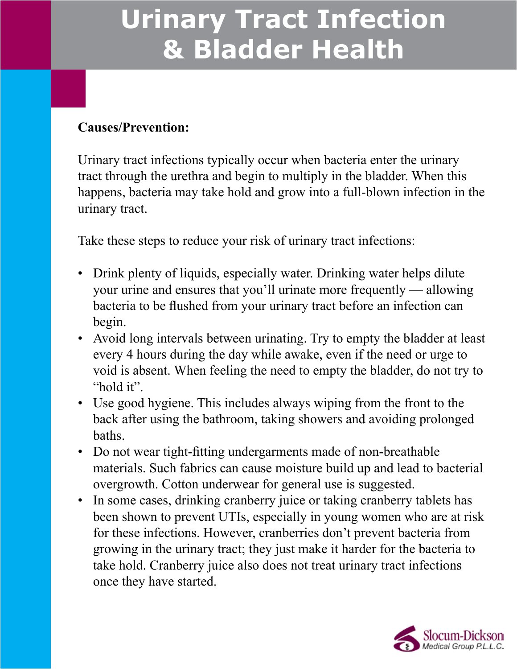#### **Causes/Prevention:**

Urinary tract infections typically occur when bacteria enter the urinary tract through the urethra and begin to multiply in the bladder. When this happens, bacteria may take hold and grow into a full-blown infection in the urinary tract.

Take these steps to reduce your risk of urinary tract infections:

- Drink plenty of liquids, especially water. Drinking water helps dilute your urine and ensures that you'll urinate more frequently — allowing bacteria to be flushed from your urinary tract before an infection can begin.
- Avoid long intervals between urinating. Try to empty the bladder at least every 4 hours during the day while awake, even if the need or urge to void is absent. When feeling the need to empty the bladder, do not try to "hold it".
- Use good hygiene. This includes always wiping from the front to the back after using the bathroom, taking showers and avoiding prolonged baths.
- Do not wear tight-fitting undergarments made of non-breathable materials. Such fabrics can cause moisture build up and lead to bacterial overgrowth. Cotton underwear for general use is suggested.
- In some cases, drinking cranberry juice or taking cranberry tablets has been shown to prevent UTIs, especially in young women who are at risk for these infections. However, cranberries don't prevent bacteria from growing in the urinary tract; they just make it harder for the bacteria to take hold. Cranberry juice also does not treat urinary tract infections once they have started.

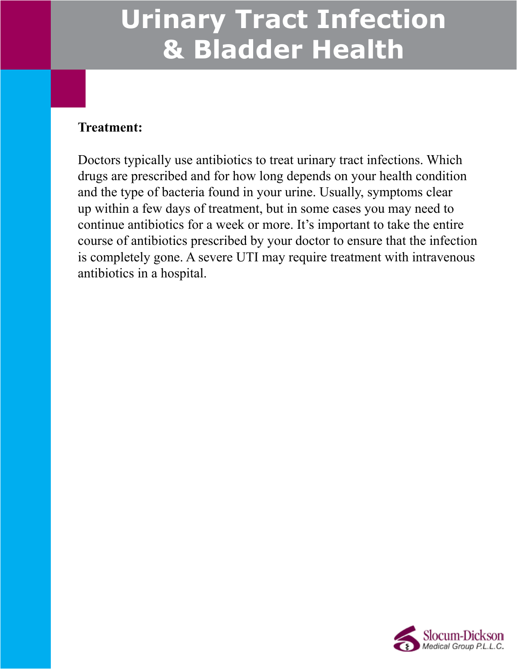#### **Treatment:**

Doctors typically use antibiotics to treat urinary tract infections. Which drugs are prescribed and for how long depends on your health condition and the type of bacteria found in your urine. Usually, symptoms clear up within a few days of treatment, but in some cases you may need to continue antibiotics for a week or more. It's important to take the entire course of antibiotics prescribed by your doctor to ensure that the infection is completely gone. A severe UTI may require treatment with intravenous antibiotics in a hospital.